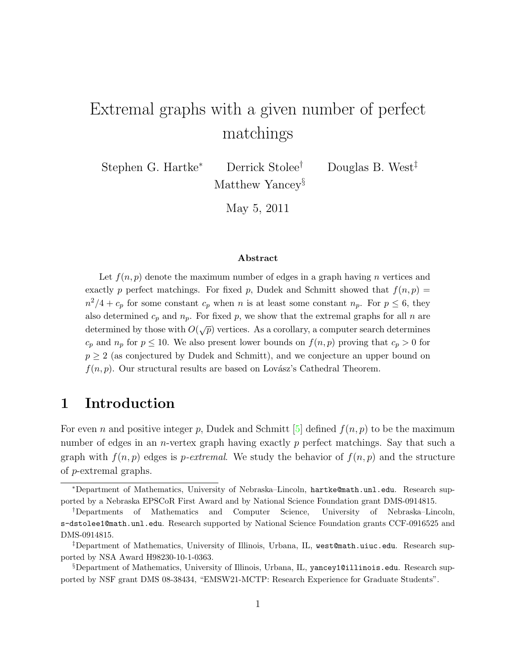# Extremal graphs with a given number of perfect matchings

Stephen G. Hartke<sup>∗</sup> Derrick Stolee† Douglas B. West‡

Matthew Yancey<sup>§</sup>

May 5, 2011

#### Abstract

Let  $f(n, p)$  denote the maximum number of edges in a graph having n vertices and exactly p perfect matchings. For fixed p, Dudek and Schmitt showed that  $f(n, p)$  $n^2/4 + c_p$  for some constant  $c_p$  when n is at least some constant  $n_p$ . For  $p \leq 6$ , they also determined  $c_p$  and  $n_p$ . For fixed p, we show that the extremal graphs for all n are determined by those with  $O(\sqrt{p})$  vertices. As a corollary, a computer search determines  $c_p$  and  $n_p$  for  $p \leq 10$ . We also present lower bounds on  $f(n, p)$  proving that  $c_p > 0$  for  $p \geq 2$  (as conjectured by Dudek and Schmitt), and we conjecture an upper bound on  $f(n, p)$ . Our structural results are based on Lovász's Cathedral Theorem.

#### 1 Introduction

For even n and positive integer p, Dudek and Schmitt [\[5\]](#page-21-0) defined  $f(n, p)$  to be the maximum number of edges in an *n*-vertex graph having exactly p perfect matchings. Say that such a graph with  $f(n, p)$  edges is *p-extremal*. We study the behavior of  $f(n, p)$  and the structure of p-extremal graphs.

<sup>∗</sup>Department of Mathematics, University of Nebraska–Lincoln, hartke@math.unl.edu. Research supported by a Nebraska EPSCoR First Award and by National Science Foundation grant DMS-0914815.

<sup>†</sup>Departments of Mathematics and Computer Science, University of Nebraska–Lincoln, s-dstolee1@math.unl.edu. Research supported by National Science Foundation grants CCF-0916525 and DMS-0914815.

<sup>‡</sup>Department of Mathematics, University of Illinois, Urbana, IL, west@math.uiuc.edu. Research supported by NSA Award H98230-10-1-0363.

<sup>§</sup>Department of Mathematics, University of Illinois, Urbana, IL, yancey1@illinois.edu. Research supported by NSF grant DMS 08-38434, "EMSW21-MCTP: Research Experience for Graduate Students".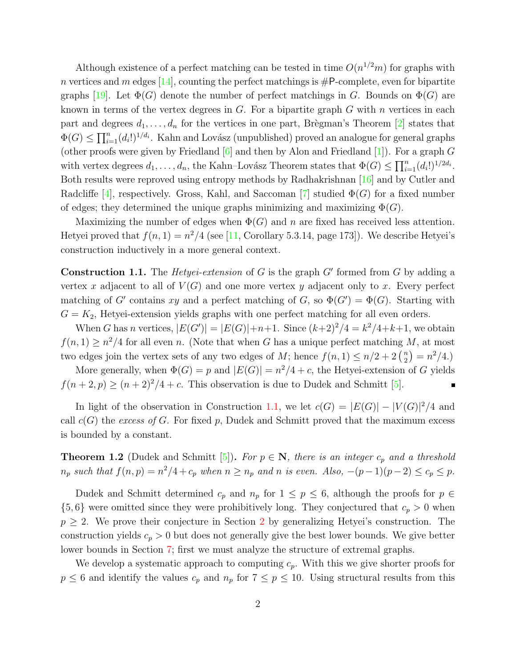Although existence of a perfect matching can be tested in time  $O(n^{1/2}m)$  for graphs with n vertices and m edges [\[14\]](#page-21-1), counting the perfect matchings is  $\#P$ -complete, even for bipartite graphs [\[19\]](#page-21-2). Let  $\Phi(G)$  denote the number of perfect matchings in G. Bounds on  $\Phi(G)$  are known in terms of the vertex degrees in  $G$ . For a bipartite graph  $G$  with  $n$  vertices in each part and degrees  $d_1, \ldots, d_n$  for the vertices in one part, Brègman's Theorem [\[2\]](#page-20-0) states that  $\Phi(G) \le \prod_{i=1}^n (d_i!)^{1/d_i}$ . Kahn and Lovász (unpublished) proved an analogue for general graphs (other proofs were given by Friedland  $[6]$  and then by Alon and Friedland  $[1]$ ). For a graph G with vertex degrees  $d_1, \ldots, d_n$ , the Kahn–Lovász Theorem states that  $\Phi(G) \leq \prod_{i=1}^n (d_i!)^{1/2d_i}$ . Both results were reproved using entropy methods by Radhakrishnan [\[16\]](#page-21-4) and by Cutler and Radcliffe [\[4\]](#page-20-2), respectively. Gross, Kahl, and Saccoman [\[7\]](#page-21-5) studied  $\Phi(G)$  for a fixed number of edges; they determined the unique graphs minimizing and maximizing  $\Phi(G)$ .

Maximizing the number of edges when  $\Phi(G)$  and n are fixed has received less attention. Hetyei proved that  $f(n, 1) = n^2/4$  (see [\[11,](#page-21-6) Corollary 5.3.14, page 173]). We describe Hetyei's construction inductively in a more general context.

<span id="page-1-0"></span>**Construction 1.1.** The *Hetyei-extension* of  $G$  is the graph  $G'$  formed from  $G$  by adding a vertex x adjacent to all of  $V(G)$  and one more vertex y adjacent only to x. Every perfect matching of G' contains xy and a perfect matching of G, so  $\Phi(G') = \Phi(G)$ . Starting with  $G = K_2$ , Hetyei-extension yields graphs with one perfect matching for all even orders.

When G has n vertices,  $|E(G')| = |E(G)| + n + 1$ . Since  $(k+2)^2/4 = k^2/4 + k + 1$ , we obtain  $f(n, 1) \geq n^2/4$  for all even n. (Note that when G has a unique perfect matching M, at most two edges join the vertex sets of any two edges of M; hence  $f(n, 1) \leq n/2 + 2\binom{n}{2}$  $n_2^n$  =  $n^2/4$ .)

More generally, when  $\Phi(G) = p$  and  $|E(G)| = n^2/4 + c$ , the Hetyei-extension of G yields  $f(n+2, p) \ge (n+2)^2/4 + c$ . This observation is due to Dudek and Schmitt [\[5\]](#page-21-0).

In light of the observation in Construction [1.1,](#page-1-0) we let  $c(G) = |E(G)| - |V(G)|^2/4$  and call  $c(G)$  the excess of G. For fixed p, Dudek and Schmitt proved that the maximum excess is bounded by a constant.

<span id="page-1-1"></span>**Theorem 1.2** (Dudek and Schmitt [\[5\]](#page-21-0)). For  $p \in \mathbb{N}$ , there is an integer  $c_p$  and a threshold  $n_p$  such that  $f(n,p) = n^2/4 + c_p$  when  $n \ge n_p$  and n is even. Also,  $-(p-1)(p-2) \le c_p \le p$ .

Dudek and Schmitt determined  $c_p$  and  $n_p$  for  $1 \leq p \leq 6$ , although the proofs for  $p \in$  $\{5, 6\}$  were omitted since they were prohibitively long. They conjectured that  $c_p > 0$  when  $p \geq 2$  $p \geq 2$ . We prove their conjecture in Section 2 by generalizing Hetyei's construction. The construction yields  $c_p > 0$  but does not generally give the best lower bounds. We give better lower bounds in Section [7;](#page-12-0) first we must analyze the structure of extremal graphs.

We develop a systematic approach to computing  $c_p$ . With this we give shorter proofs for  $p \leq 6$  and identify the values  $c_p$  and  $n_p$  for  $7 \leq p \leq 10$ . Using structural results from this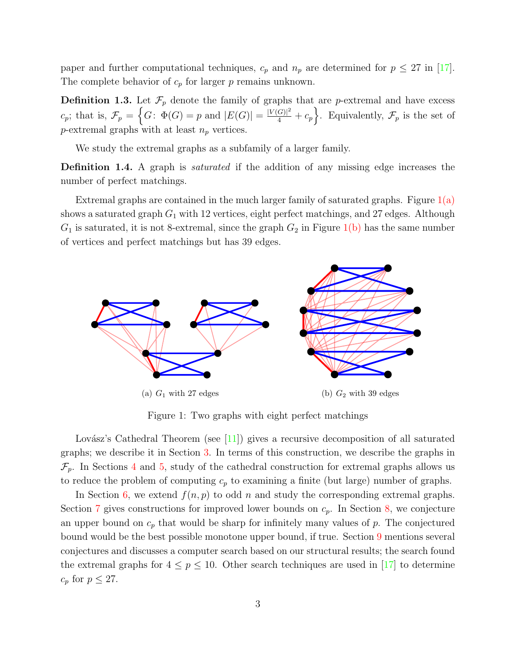paper and further computational techniques,  $c_p$  and  $n_p$  are determined for  $p \leq 27$  in [\[17\]](#page-21-7). The complete behavior of  $c_p$  for larger p remains unknown.

**Definition 1.3.** Let  $\mathcal{F}_p$  denote the family of graphs that are *p*-extremal and have excess  $c_p$ ; that is,  $\mathcal{F}_p = \left\{ G \colon \Phi(G) = p \text{ and } |E(G)| = \frac{|V(G)|^2}{4} + c_p \right\}$ . Equivalently,  $\mathcal{F}_p$  is the set of p-extremal graphs with at least  $n_p$  vertices.

We study the extremal graphs as a subfamily of a larger family.

Definition 1.4. A graph is *saturated* if the addition of any missing edge increases the number of perfect matchings.

Extremal graphs are contained in the much larger family of saturated graphs. Figure  $1(a)$ shows a saturated graph  $G_1$  with 12 vertices, eight perfect matchings, and 27 edges. Although  $G_1$  is saturated, it is not 8-extremal, since the graph  $G_2$  in Figure [1\(b\)](#page-2-1) has the same number of vertices and perfect matchings but has 39 edges.



<span id="page-2-2"></span><span id="page-2-1"></span>Figure 1: Two graphs with eight perfect matchings

<span id="page-2-0"></span>Lovász's Cathedral Theorem (see [\[11\]](#page-21-6)) gives a recursive decomposition of all saturated graphs; we describe it in Section [3.](#page-4-0) In terms of this construction, we describe the graphs in  $\mathcal{F}_p$ . In Sections [4](#page-6-0) and [5,](#page-8-0) study of the cathedral construction for extremal graphs allows us to reduce the problem of computing  $c_p$  to examining a finite (but large) number of graphs.

In Section [6,](#page-11-0) we extend  $f(n, p)$  to odd n and study the corresponding extremal graphs. Section [7](#page-12-0) gives constructions for improved lower bounds on  $c_p$ . In Section [8,](#page-14-0) we conjecture an upper bound on  $c_p$  that would be sharp for infinitely many values of p. The conjectured bound would be the best possible monotone upper bound, if true. Section [9](#page-14-1) mentions several conjectures and discusses a computer search based on our structural results; the search found the extremal graphs for  $4 \leq p \leq 10$ . Other search techniques are used in [\[17\]](#page-21-7) to determine  $c_p$  for  $p \leq 27$ .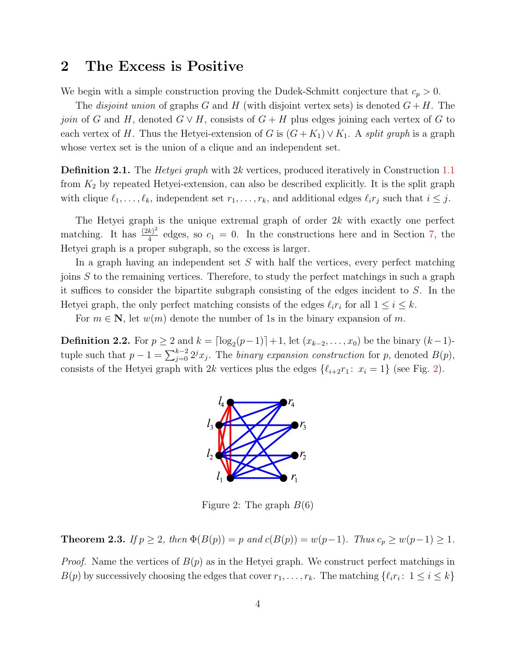#### <span id="page-3-0"></span>2 The Excess is Positive

We begin with a simple construction proving the Dudek-Schmitt conjecture that  $c_p > 0$ .

The *disjoint union* of graphs G and H (with disjoint vertex sets) is denoted  $G + H$ . The join of G and H, denoted  $G \vee H$ , consists of  $G + H$  plus edges joining each vertex of G to each vertex of H. Thus the Hetyei-extension of G is  $(G+K_1) \vee K_1$ . A split graph is a graph whose vertex set is the union of a clique and an independent set.

**Definition 2.1.** The *Hetyei graph* with 2k vertices, produced iteratively in Construction [1.1](#page-1-0) from  $K_2$  by repeated Hetyei-extension, can also be described explicitly. It is the split graph with clique  $\ell_1, \ldots, \ell_k$ , independent set  $r_1, \ldots, r_k$ , and additional edges  $\ell_i r_j$  such that  $i \leq j$ .

The Hetyei graph is the unique extremal graph of order 2k with exactly one perfect matching. It has  $\frac{(2k)^2}{4}$  $\frac{k}{4}$  edges, so  $c_1 = 0$ . In the constructions here and in Section [7,](#page-12-0) the Hetyei graph is a proper subgraph, so the excess is larger.

In a graph having an independent set S with half the vertices, every perfect matching joins S to the remaining vertices. Therefore, to study the perfect matchings in such a graph it suffices to consider the bipartite subgraph consisting of the edges incident to S. In the Hetyei graph, the only perfect matching consists of the edges  $\ell_i r_i$  for all  $1 \leq i \leq k$ .

For  $m \in \mathbb{N}$ , let  $w(m)$  denote the number of 1s in the binary expansion of m.

**Definition 2.2.** For  $p \ge 2$  and  $k = \lfloor \log_2(p-1) \rfloor + 1$ , let  $(x_{k-2}, \ldots, x_0)$  be the binary  $(k-1)$ tuple such that  $p-1 = \sum_{j=0}^{k-2} 2^j x_j$ . The *binary expansion construction* for p, denoted  $B(p)$ , consists of the Hetyei graph with 2k vertices plus the edges  $\{\ell_{i+2}r_1 : x_i = 1\}$  (see Fig. [2\)](#page-3-1).



<span id="page-3-1"></span>Figure 2: The graph  $B(6)$ 

<span id="page-3-2"></span>**Theorem 2.3.** If  $p \ge 2$ , then  $\Phi(B(p)) = p$  and  $c(B(p)) = w(p-1)$ . Thus  $c_p \ge w(p-1) \ge 1$ .

*Proof.* Name the vertices of  $B(p)$  as in the Hetyei graph. We construct perfect matchings in  $B(p)$  by successively choosing the edges that cover  $r_1, \ldots, r_k$ . The matching  $\{\ell_i r_i : 1 \le i \le k\}$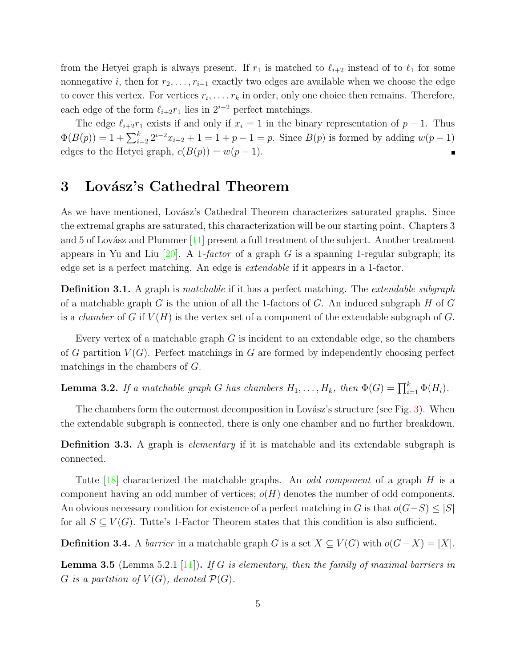from the Hetyei graph is always present. If  $r_1$  is matched to  $\ell_{i+2}$  instead of to  $\ell_1$  for some nonnegative *i*, then for  $r_2, \ldots, r_{i-1}$  exactly two edges are available when we choose the edge to cover this vertex. For vertices  $r_i, \ldots, r_k$  in order, only one choice then remains. Therefore, each edge of the form  $\ell_{i+2}r_1$  lies in  $2^{i-2}$  perfect matchings.

The edge  $\ell_{i+2}r_1$  exists if and only if  $x_i = 1$  in the binary representation of  $p-1$ . Thus  $\Phi(B(p)) = 1 + \sum_{i=2}^{k} 2^{i-2}x_{i-2} + 1 = 1 + p - 1 = p$ . Since  $B(p)$  is formed by adding  $w(p-1)$ edges to the Hetyei graph,  $c(B(p)) = w(p-1)$ .  $\blacksquare$ 

#### <span id="page-4-0"></span>3 Lovász's Cathedral Theorem

As we have mentioned, Lovász's Cathedral Theorem characterizes saturated graphs. Since the extremal graphs are saturated, this characterization will be our starting point. Chapters 3 and 5 of Lovász and Plummer  $[11]$  present a full treatment of the subject. Another treatment appears in Yu and Liu [\[20\]](#page-21-8). A 1-factor of a graph G is a spanning 1-regular subgraph; its edge set is a perfect matching. An edge is extendable if it appears in a 1-factor.

**Definition 3.1.** A graph is *matchable* if it has a perfect matching. The *extendable subgraph* of a matchable graph G is the union of all the 1-factors of G. An induced subgraph H of G is a *chamber* of G if  $V(H)$  is the vertex set of a component of the extendable subgraph of G.

Every vertex of a matchable graph  $G$  is incident to an extendable edge, so the chambers of G partition  $V(G)$ . Perfect matchings in G are formed by independently choosing perfect matchings in the chambers of G.

<span id="page-4-1"></span>**Lemma 3.2.** If a matchable graph G has chambers  $H_1, \ldots, H_k$ , then  $\Phi(G) = \prod_{i=1}^k \Phi(H_i)$ .

The chambers form the outermost decomposition in Lovász's structure (see Fig. [3\)](#page-5-0). When the extendable subgraph is connected, there is only one chamber and no further breakdown.

**Definition 3.3.** A graph is *elementary* if it is matchable and its extendable subgraph is connected.

Tutte  $[18]$  characterized the matchable graphs. An *odd component* of a graph H is a component having an odd number of vertices;  $o(H)$  denotes the number of odd components. An obvious necessary condition for existence of a perfect matching in G is that  $o(G-S) \leq |S|$ for all  $S \subseteq V(G)$ . Tutte's 1-Factor Theorem states that this condition is also sufficient.

**Definition 3.4.** A *barrier* in a matchable graph G is a set  $X \subseteq V(G)$  with  $o(G-X) = |X|$ .

**Lemma 3.5** (Lemma 5.2.1 [\[11\]](#page-21-6)). If G is elementary, then the family of maximal barriers in G is a partition of  $V(G)$ , denoted  $\mathcal{P}(G)$ .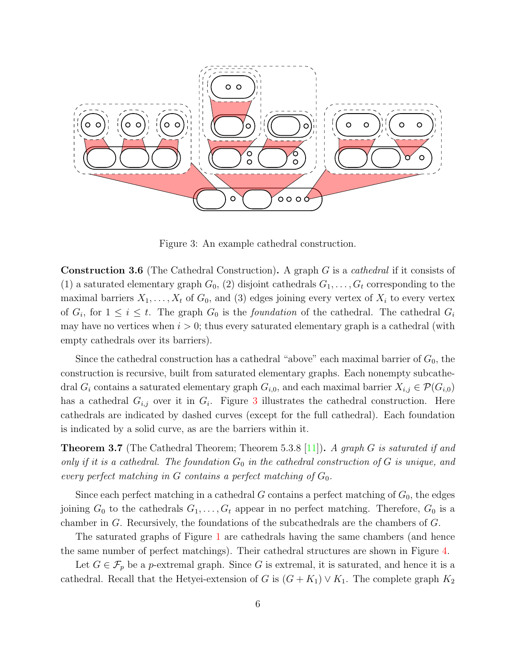

Figure 3: An example cathedral construction.

<span id="page-5-0"></span>Construction 3.6 (The Cathedral Construction). A graph G is a cathedral if it consists of (1) a saturated elementary graph  $G_0$ , (2) disjoint cathedrals  $G_1, \ldots, G_t$  corresponding to the maximal barriers  $X_1, \ldots, X_t$  of  $G_0$ , and (3) edges joining every vertex of  $X_i$  to every vertex of  $G_i$ , for  $1 \leq i \leq t$ . The graph  $G_0$  is the *foundation* of the cathedral. The cathedral  $G_i$ may have no vertices when  $i > 0$ ; thus every saturated elementary graph is a cathedral (with empty cathedrals over its barriers).

Since the cathedral construction has a cathedral "above" each maximal barrier of  $G_0$ , the construction is recursive, built from saturated elementary graphs. Each nonempty subcathedral  $G_i$  contains a saturated elementary graph  $G_{i,0}$ , and each maximal barrier  $X_{i,j} \in \mathcal{P}(G_{i,0})$ has a cathedral  $G_{i,j}$  over it in  $G_i$ . Figure [3](#page-5-0) illustrates the cathedral construction. Here cathedrals are indicated by dashed curves (except for the full cathedral). Each foundation is indicated by a solid curve, as are the barriers within it.

**Theorem 3.7** (The Cathedral Theorem; Theorem 5.3.8 [\[11\]](#page-21-6)). A graph G is saturated if and only if it is a cathedral. The foundation  $G_0$  in the cathedral construction of G is unique, and every perfect matching in G contains a perfect matching of  $G_0$ .

Since each perfect matching in a cathedral G contains a perfect matching of  $G_0$ , the edges joining  $G_0$  to the cathedrals  $G_1, \ldots, G_t$  appear in no perfect matching. Therefore,  $G_0$  is a chamber in G. Recursively, the foundations of the subcathedrals are the chambers of G.

The saturated graphs of Figure [1](#page-2-2) are cathedrals having the same chambers (and hence the same number of perfect matchings). Their cathedral structures are shown in Figure [4.](#page-6-1)

Let  $G \in \mathcal{F}_p$  be a p-extremal graph. Since G is extremal, it is saturated, and hence it is a cathedral. Recall that the Hetyei-extension of G is  $(G + K_1) \vee K_1$ . The complete graph  $K_2$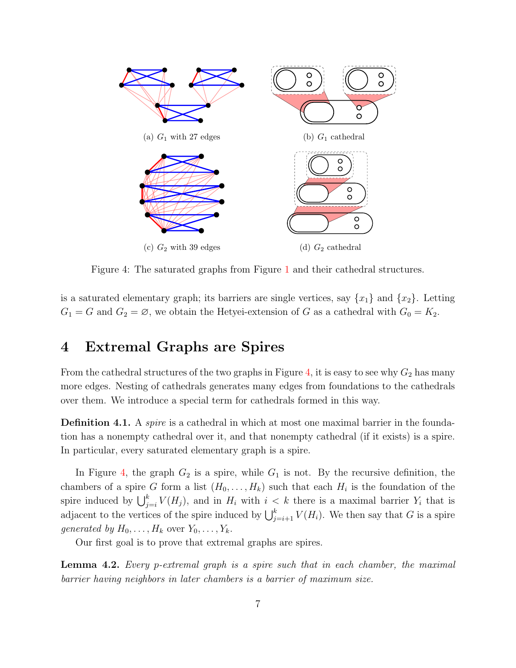

<span id="page-6-1"></span>Figure 4: The saturated graphs from Figure [1](#page-2-2) and their cathedral structures.

is a saturated elementary graph; its barriers are single vertices, say  $\{x_1\}$  and  $\{x_2\}$ . Letting  $G_1 = G$  and  $G_2 = \emptyset$ , we obtain the Hetyei-extension of G as a cathedral with  $G_0 = K_2$ .

## <span id="page-6-0"></span>4 Extremal Graphs are Spires

From the cathedral structures of the two graphs in Figure [4,](#page-6-1) it is easy to see why  $G_2$  has many more edges. Nesting of cathedrals generates many edges from foundations to the cathedrals over them. We introduce a special term for cathedrals formed in this way.

Definition 4.1. A *spire* is a cathedral in which at most one maximal barrier in the foundation has a nonempty cathedral over it, and that nonempty cathedral (if it exists) is a spire. In particular, every saturated elementary graph is a spire.

In Figure [4,](#page-6-1) the graph  $G_2$  is a spire, while  $G_1$  is not. By the recursive definition, the chambers of a spire G form a list  $(H_0, \ldots, H_k)$  such that each  $H_i$  is the foundation of the spire induced by  $\bigcup_{j=i}^k V(H_j)$ , and in  $H_i$  with  $i < k$  there is a maximal barrier  $Y_i$  that is adjacent to the vertices of the spire induced by  $\bigcup_{j=i+1}^{k} V(H_i)$ . We then say that G is a spire generated by  $H_0, \ldots, H_k$  over  $Y_0, \ldots, Y_k$ .

Our first goal is to prove that extremal graphs are spires.

<span id="page-6-2"></span>**Lemma 4.2.** Every p-extremal graph is a spire such that in each chamber, the maximal barrier having neighbors in later chambers is a barrier of maximum size.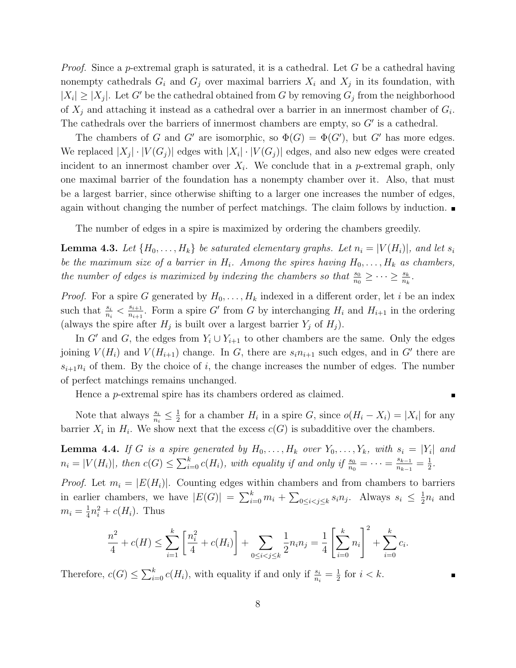*Proof.* Since a *p*-extremal graph is saturated, it is a cathedral. Let G be a cathedral having nonempty cathedrals  $G_i$  and  $G_j$  over maximal barriers  $X_i$  and  $X_j$  in its foundation, with  $|X_i| \geq |X_j|$ . Let G' be the cathedral obtained from G by removing  $G_j$  from the neighborhood of  $X_j$  and attaching it instead as a cathedral over a barrier in an innermost chamber of  $G_i$ . The cathedrals over the barriers of innermost chambers are empty, so  $G'$  is a cathedral.

The chambers of G and G' are isomorphic, so  $\Phi(G) = \Phi(G')$ , but G' has more edges. We replaced  $|X_j| \cdot |V(G_j)|$  edges with  $|X_i| \cdot |V(G_j)|$  edges, and also new edges were created incident to an innermost chamber over  $X_i$ . We conclude that in a p-extremal graph, only one maximal barrier of the foundation has a nonempty chamber over it. Also, that must be a largest barrier, since otherwise shifting to a larger one increases the number of edges, again without changing the number of perfect matchings. The claim follows by induction.

The number of edges in a spire is maximized by ordering the chambers greedily.

<span id="page-7-1"></span>**Lemma 4.3.** Let  $\{H_0, \ldots, H_k\}$  be saturated elementary graphs. Let  $n_i = |V(H_i)|$ , and let  $s_i$ be the maximum size of a barrier in  $H_i$ . Among the spires having  $H_0, \ldots, H_k$  as chambers, the number of edges is maximized by indexing the chambers so that  $\frac{s_0}{n_0} \geq \cdots \geq \frac{s_k}{n_k}$ .

*Proof.* For a spire G generated by  $H_0, \ldots, H_k$  indexed in a different order, let i be an index such that  $\frac{s_i}{n_i} < \frac{s_{i+1}}{n_{i+1}}$  $\frac{s_{i+1}}{n_{i+1}}$ . Form a spire G' from G by interchanging  $H_i$  and  $H_{i+1}$  in the ordering (always the spire after  $H_j$  is built over a largest barrier  $Y_j$  of  $H_j$ ).

In G' and G, the edges from  $Y_i \cup Y_{i+1}$  to other chambers are the same. Only the edges joining  $V(H_i)$  and  $V(H_{i+1})$  change. In G, there are  $s_i n_{i+1}$  such edges, and in G' there are  $s_{i+1}n_i$  of them. By the choice of i, the change increases the number of edges. The number of perfect matchings remains unchanged.

Hence a p-extremal spire has its chambers ordered as claimed.

Note that always  $\frac{s_i}{n_i} \leq \frac{1}{2}$  $\frac{1}{2}$  for a chamber  $H_i$  in a spire G, since  $o(H_i - X_i) = |X_i|$  for any barrier  $X_i$  in  $H_i$ . We show next that the excess  $c(G)$  is subadditive over the chambers.

<span id="page-7-0"></span>**Lemma 4.4.** If G is a spire generated by  $H_0, \ldots, H_k$  over  $Y_0, \ldots, Y_k$ , with  $s_i = |Y_i|$  and  $n_i = |V(H_i)|$ , then  $c(G) \leq \sum_{i=0}^{k} c(H_i)$ , with equality if and only if  $\frac{s_0}{n_0} = \cdots = \frac{s_{k-1}}{n_{k-1}}$  $\frac{s_{k-1}}{n_{k-1}}=\frac{1}{2}$  $\frac{1}{2}$ .

*Proof.* Let  $m_i = |E(H_i)|$ . Counting edges within chambers and from chambers to barriers in earlier chambers, we have  $|E(G)| = \sum_{i=0}^{k} m_i + \sum_{0 \leq i < j \leq k} s_i n_j$ . Always  $s_i \leq \frac{1}{2}$  $\frac{1}{2}n_i$  and  $m_i=\frac{1}{4}$  $\frac{1}{4}n_i^2 + c(H_i)$ . Thus

$$
\frac{n^2}{4} + c(H) \le \sum_{i=1}^k \left[ \frac{n_i^2}{4} + c(H_i) \right] + \sum_{0 \le i < j \le k} \frac{1}{2} n_i n_j = \frac{1}{4} \left[ \sum_{i=0}^k n_i \right]^2 + \sum_{i=0}^k c_i.
$$

Therefore,  $c(G) \leq \sum_{i=0}^{k} c(H_i)$ , with equality if and only if  $\frac{s_i}{n_i} = \frac{1}{2}$  $\frac{1}{2}$  for  $i < k$ .

 $\blacksquare$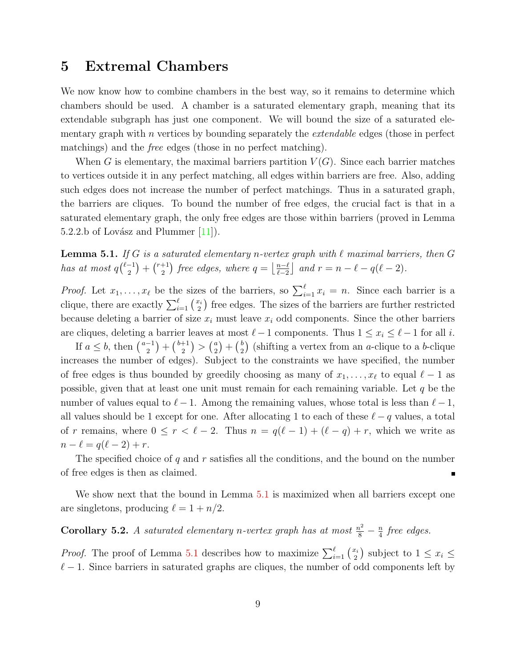#### <span id="page-8-0"></span>5 Extremal Chambers

We now know how to combine chambers in the best way, so it remains to determine which chambers should be used. A chamber is a saturated elementary graph, meaning that its extendable subgraph has just one component. We will bound the size of a saturated elementary graph with  $n$  vertices by bounding separately the *extendable* edges (those in perfect matchings) and the free edges (those in no perfect matching).

When G is elementary, the maximal barriers partition  $V(G)$ . Since each barrier matches to vertices outside it in any perfect matching, all edges within barriers are free. Also, adding such edges does not increase the number of perfect matchings. Thus in a saturated graph, the barriers are cliques. To bound the number of free edges, the crucial fact is that in a saturated elementary graph, the only free edges are those within barriers (proved in Lemma 5.2.2.b of Lovász and Plummer  $[11]$ .

<span id="page-8-1"></span>**Lemma 5.1.** If G is a saturated elementary n-vertex graph with  $\ell$  maximal barriers, then G has at most  $q^{\ell-1}$  $\binom{-1}{2} + \binom{r+1}{2}$  $\binom{+1}{2}$  free edges, where  $q = \left\lfloor \frac{n-\ell}{\ell-2} \right\rfloor$  $\frac{n-\ell}{\ell-2}$  and  $r = n - \ell - q(\ell - 2)$ .

*Proof.* Let  $x_1, \ldots, x_\ell$  be the sizes of the barriers, so  $\sum_{i=1}^\ell x_i = n$ . Since each barrier is a clique, there are exactly  $\sum_{i=1}^{\ell} \binom{x_i}{2}$  $\binom{x_i}{2}$  free edges. The sizes of the barriers are further restricted because deleting a barrier of size  $x_i$  must leave  $x_i$  odd components. Since the other barriers are cliques, deleting a barrier leaves at most  $\ell - 1$  components. Thus  $1 \le x_i \le \ell - 1$  for all i.

If  $a \leq b$ , then  $\binom{a-1}{2}$  $\binom{-1}{2} + \binom{b+1}{2}$  $\binom{+1}{2}$  >  $\binom{a}{2}$  $\binom{a}{2} + \binom{b}{2}$  $\binom{b}{2}$  (shifting a vertex from an *a*-clique to a *b*-clique increases the number of edges). Subject to the constraints we have specified, the number of free edges is thus bounded by greedily choosing as many of  $x_1, \ldots, x_\ell$  to equal  $\ell - 1$  as possible, given that at least one unit must remain for each remaining variable. Let q be the number of values equal to  $\ell - 1$ . Among the remaining values, whose total is less than  $\ell - 1$ , all values should be 1 except for one. After allocating 1 to each of these  $\ell - q$  values, a total of r remains, where  $0 \le r < \ell - 2$ . Thus  $n = q(\ell - 1) + (\ell - q) + r$ , which we write as  $n - \ell = q(\ell - 2) + r.$ 

The specified choice of  $q$  and  $r$  satisfies all the conditions, and the bound on the number of free edges is then as claimed.

We show next that the bound in Lemma [5.1](#page-8-1) is maximized when all barriers except one are singletons, producing  $\ell = 1 + n/2$ .

<span id="page-8-2"></span>**Corollary 5.2.** A saturated elementary n-vertex graph has at most  $\frac{n^2}{8} - \frac{n}{4}$  $rac{n}{4}$  free edges.

*Proof.* The proof of Lemma [5.1](#page-8-1) describes how to maximize  $\sum_{i=1}^{\ell} \binom{x_i}{2}$  $\binom{x_i}{2}$  subject to  $1 \leq x_i \leq$  $\ell - 1$ . Since barriers in saturated graphs are cliques, the number of odd components left by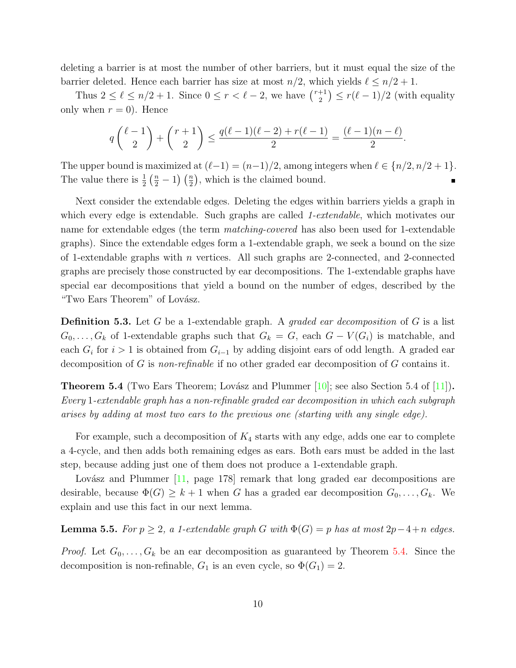deleting a barrier is at most the number of other barriers, but it must equal the size of the barrier deleted. Hence each barrier has size at most  $n/2$ , which yields  $\ell \leq n/2 + 1$ .

Thus  $2 \leq \ell \leq n/2 + 1$ . Since  $0 \leq r < \ell - 2$ , we have  $\binom{r+1}{2}$  $\binom{+1}{2} \leq r(\ell - 1)/2$  (with equality only when  $r = 0$ ). Hence

$$
q\binom{\ell-1}{2}+\binom{r+1}{2}\leq \frac{q(\ell-1)(\ell-2)+r(\ell-1)}{2}=\frac{(\ell-1)(n-\ell)}{2}.
$$

The upper bound is maximized at  $(\ell-1) = (n-1)/2$ , among integers when  $\ell \in \{n/2, n/2 + 1\}$ . The value there is  $\frac{1}{2}(\frac{n}{2}-1)(\frac{n}{2})$ , which is the claimed bound.

Next consider the extendable edges. Deleting the edges within barriers yields a graph in which every edge is extendable. Such graphs are called 1-extendable, which motivates our name for extendable edges (the term *matching-covered* has also been used for 1-extendable graphs). Since the extendable edges form a 1-extendable graph, we seek a bound on the size of 1-extendable graphs with  $n$  vertices. All such graphs are 2-connected, and 2-connected graphs are precisely those constructed by ear decompositions. The 1-extendable graphs have special ear decompositions that yield a bound on the number of edges, described by the "Two Ears Theorem" of Lovász.

**Definition 5.3.** Let G be a 1-extendable graph. A *graded ear decomposition* of G is a list  $G_0, \ldots, G_k$  of 1-extendable graphs such that  $G_k = G$ , each  $G - V(G_i)$  is matchable, and each  $G_i$  for  $i > 1$  is obtained from  $G_{i-1}$  by adding disjoint ears of odd length. A graded ear decomposition of G is non-refinable if no other graded ear decomposition of G contains it.

<span id="page-9-0"></span>**Theorem 5.4** (Two Ears Theorem; Lovász and Plummer  $[10]$ ; see also Section 5.4 of  $[11]$ ). Every 1-extendable graph has a non-refinable graded ear decomposition in which each subgraph arises by adding at most two ears to the previous one (starting with any single edge).

For example, such a decomposition of  $K_4$  starts with any edge, adds one ear to complete a 4-cycle, and then adds both remaining edges as ears. Both ears must be added in the last step, because adding just one of them does not produce a 1-extendable graph.

Lovász and Plummer  $[11, \text{ page } 178]$  $[11, \text{ page } 178]$  remark that long graded ear decompositions are desirable, because  $\Phi(G) \geq k+1$  when G has a graded ear decomposition  $G_0, \ldots, G_k$ . We explain and use this fact in our next lemma.

<span id="page-9-1"></span>**Lemma 5.5.** For  $p \geq 2$ , a 1-extendable graph G with  $\Phi(G) = p$  has at most  $2p-4+n$  edges.

*Proof.* Let  $G_0, \ldots, G_k$  be an ear decomposition as guaranteed by Theorem [5.4.](#page-9-0) Since the decomposition is non-refinable,  $G_1$  is an even cycle, so  $\Phi(G_1) = 2$ .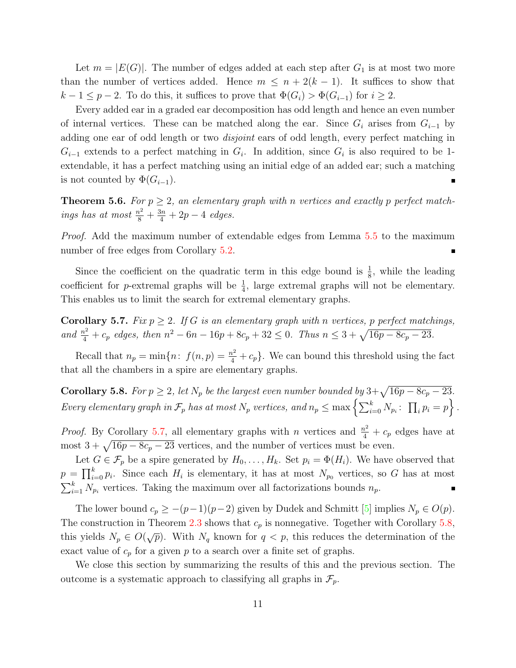Let  $m = |E(G)|$ . The number of edges added at each step after  $G_1$  is at most two more than the number of vertices added. Hence  $m \leq n + 2(k - 1)$ . It suffices to show that  $k-1 \le p-2$ . To do this, it suffices to prove that  $\Phi(G_i) > \Phi(G_{i-1})$  for  $i \ge 2$ .

Every added ear in a graded ear decomposition has odd length and hence an even number of internal vertices. These can be matched along the ear. Since  $G_i$  arises from  $G_{i-1}$  by adding one ear of odd length or two *disjoint* ears of odd length, every perfect matching in  $G_{i-1}$  extends to a perfect matching in  $G_i$ . In addition, since  $G_i$  is also required to be 1extendable, it has a perfect matching using an initial edge of an added ear; such a matching is not counted by  $\Phi(G_{i-1})$ .

**Theorem 5.6.** For  $p \geq 2$ , an elementary graph with n vertices and exactly p perfect matchings has at most  $\frac{n^2}{8} + \frac{3n}{4} + 2p - 4$  edges.

Proof. Add the maximum number of extendable edges from Lemma [5.5](#page-9-1) to the maximum number of free edges from Corollary [5.2.](#page-8-2)

Since the coefficient on the quadratic term in this edge bound is  $\frac{1}{8}$ , while the leading coefficient for *p*-extremal graphs will be  $\frac{1}{4}$ , large extremal graphs will not be elementary. This enables us to limit the search for extremal elementary graphs.

<span id="page-10-0"></span>**Corollary 5.7.** Fix  $p \geq 2$ . If G is an elementary graph with n vertices, p perfect matchings, and  $\frac{n^2}{4} + c_p$  edges, then  $n^2 - 6n - 16p + 8c_p + 32 \le 0$ . Thus  $n \le 3 + \sqrt{16p - 8c_p - 23}$ .

Recall that  $n_p = \min\{n: f(n, p) = \frac{n^2}{4} + c_p\}$ . We can bound this threshold using the fact that all the chambers in a spire are elementary graphs.

<span id="page-10-1"></span>**Corollary 5.8.** For  $p \ge 2$ , let  $N_p$  be the largest even number bounded by  $3+\sqrt{16p-8c_p-23}$ . Every elementary graph in  $\mathcal{F}_p$  has at most  $N_p$  vertices, and  $n_p \leq \max\left\{\sum_{i=0}^k N_{p_i}: ~\prod_i p_i = p\right\}$ .

*Proof.* By Corollary [5.7,](#page-10-0) all elementary graphs with n vertices and  $\frac{n^2}{4} + c_p$  edges have at most  $3 + \sqrt{16p - 8c_p - 23}$  vertices, and the number of vertices must be even.

Let  $G \in \mathcal{F}_p$  be a spire generated by  $H_0, \ldots, H_k$ . Set  $p_i = \Phi(H_i)$ . We have observed that  $p = \prod_{i=0}^{k} p_i$ . Since each  $H_i$  is elementary, it has at most  $N_{p_0}$  vertices, so G has at most  $\sum_{i=1}^{k} N_{p_i}$  vertices. Taking the maximum over all factorizations bounds  $n_p$ .

The lower bound  $c_p \ge -(p-1)(p-2)$  given by Dudek and Schmitt [\[5\]](#page-21-0) implies  $N_p \in O(p)$ . The construction in Theorem [2.3](#page-3-2) shows that  $c_p$  is nonnegative. Together with Corollary [5.8,](#page-10-1) this yields  $N_p \in O(\sqrt{p})$ . With  $N_q$  known for  $q < p$ , this reduces the determination of the exact value of  $c_p$  for a given p to a search over a finite set of graphs.

We close this section by summarizing the results of this and the previous section. The outcome is a systematic approach to classifying all graphs in  $\mathcal{F}_p$ .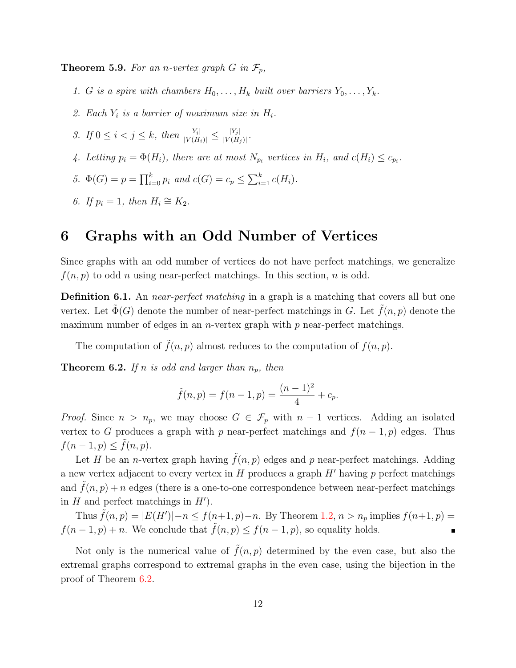**Theorem 5.9.** For an n-vertex graph G in  $\mathcal{F}_p$ ,

- 1. G is a spire with chambers  $H_0, \ldots, H_k$  built over barriers  $Y_0, \ldots, Y_k$ .
- 2. Each  $Y_i$  is a barrier of maximum size in  $H_i$ .
- 3. If  $0 \le i < j \le k$ , then  $\frac{|Y_i|}{|V(H_i)|} \le \frac{|Y_j|}{|V(H_j)|}$  $\frac{|Y_j|}{|V(H_j)|}$ .
- 4. Letting  $p_i = \Phi(H_i)$ , there are at most  $N_{p_i}$  vertices in  $H_i$ , and  $c(H_i) \leq c_{p_i}$ .
- 5.  $\Phi(G) = p = \prod_{i=0}^{k} p_i$  and  $c(G) = c_p \le \sum_{i=1}^{k} c(H_i)$ .
- 6. If  $p_i = 1$ , then  $H_i \cong K_2$ .

## <span id="page-11-0"></span>6 Graphs with an Odd Number of Vertices

Since graphs with an odd number of vertices do not have perfect matchings, we generalize  $f(n, p)$  to odd n using near-perfect matchings. In this section, n is odd.

Definition 6.1. An *near-perfect matching* in a graph is a matching that covers all but one vertex. Let  $\Phi(G)$  denote the number of near-perfect matchings in G. Let  $\tilde{f}(n, p)$  denote the maximum number of edges in an *n*-vertex graph with  $p$  near-perfect matchings.

The computation of  $\tilde{f}(n, p)$  almost reduces to the computation of  $f(n, p)$ .

<span id="page-11-1"></span>**Theorem 6.2.** If n is odd and larger than  $n_p$ , then

$$
\tilde{f}(n, p) = f(n - 1, p) = \frac{(n - 1)^2}{4} + c_p.
$$

*Proof.* Since  $n > n_p$ , we may choose  $G \in \mathcal{F}_p$  with  $n-1$  vertices. Adding an isolated vertex to G produces a graph with p near-perfect matchings and  $f(n-1, p)$  edges. Thus  $f(n-1, p) \leq \tilde{f}(n, p).$ 

Let H be an *n*-vertex graph having  $\tilde{f}(n, p)$  edges and p near-perfect matchings. Adding a new vertex adjacent to every vertex in  $H$  produces a graph  $H'$  having  $p$  perfect matchings and  $\tilde{f}(n, p) + n$  edges (there is a one-to-one correspondence between near-perfect matchings in  $H$  and perfect matchings in  $H'$ ).

Thus  $\tilde{f}(n, p) = |E(H')| - n \le f(n+1, p) - n$ . By Theorem [1.2,](#page-1-1)  $n > n_p$  implies  $f(n+1, p) =$  $f(n-1, p) + n$ . We conclude that  $\tilde{f}(n, p) \le f(n-1, p)$ , so equality holds.

Not only is the numerical value of  $\hat{f}(n, p)$  determined by the even case, but also the extremal graphs correspond to extremal graphs in the even case, using the bijection in the proof of Theorem [6.2.](#page-11-1)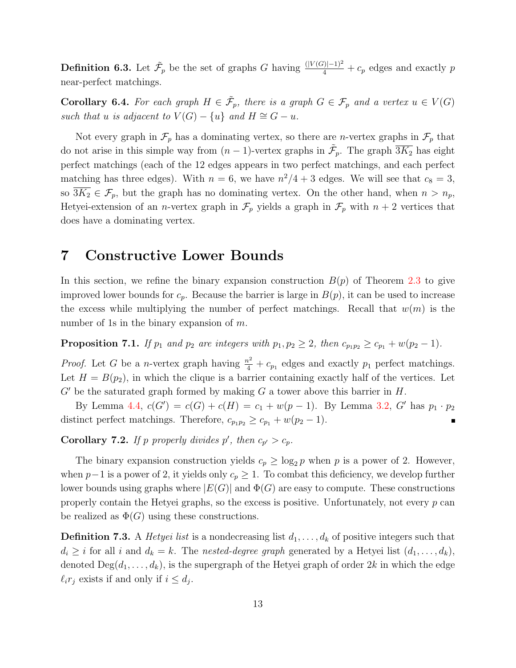**Definition 6.3.** Let  $\tilde{\mathcal{F}}_p$  be the set of graphs G having  $\frac{(|V(G)|-1)^2}{4} + c_p$  edges and exactly p near-perfect matchings.

**Corollary 6.4.** For each graph  $H \in \tilde{\mathcal{F}}_p$ , there is a graph  $G \in \mathcal{F}_p$  and a vertex  $u \in V(G)$ such that u is adjacent to  $V(G) - \{u\}$  and  $H \cong G - u$ .

Not every graph in  $\mathcal{F}_p$  has a dominating vertex, so there are *n*-vertex graphs in  $\mathcal{F}_p$  that do not arise in this simple way from  $(n-1)$ -vertex graphs in  $\tilde{\mathcal{F}}_p$ . The graph  $\overline{3K_2}$  has eight perfect matchings (each of the 12 edges appears in two perfect matchings, and each perfect matching has three edges). With  $n = 6$ , we have  $n^2/4 + 3$  edges. We will see that  $c_8 = 3$ , so  $\overline{3K_2} \in \mathcal{F}_p$ , but the graph has no dominating vertex. On the other hand, when  $n > n_p$ , Hetyei-extension of an *n*-vertex graph in  $\mathcal{F}_p$  yields a graph in  $\mathcal{F}_p$  with  $n+2$  vertices that does have a dominating vertex.

#### <span id="page-12-0"></span>7 Constructive Lower Bounds

In this section, we refine the binary expansion construction  $B(p)$  of Theorem [2.3](#page-3-2) to give improved lower bounds for  $c_p$ . Because the barrier is large in  $B(p)$ , it can be used to increase the excess while multiplying the number of perfect matchings. Recall that  $w(m)$  is the number of 1s in the binary expansion of  $m$ .

**Proposition 7.1.** If  $p_1$  and  $p_2$  are integers with  $p_1, p_2 \geq 2$ , then  $c_{p_1p_2} \geq c_{p_1} + w(p_2 - 1)$ .

*Proof.* Let G be a *n*-vertex graph having  $\frac{n^2}{4} + c_{p_1}$  edges and exactly  $p_1$  perfect matchings. Let  $H = B(p_2)$ , in which the clique is a barrier containing exactly half of the vertices. Let  $G'$  be the saturated graph formed by making G a tower above this barrier in H.

By Lemma [4.4,](#page-7-0)  $c(G') = c(G) + c(H) = c_1 + w(p-1)$ . By Lemma [3.2,](#page-4-1) G' has  $p_1 \cdot p_2$ distinct perfect matchings. Therefore,  $c_{p_1p_2} \geq c_{p_1} + w(p_2 - 1)$ .  $\blacksquare$ 

<span id="page-12-1"></span>**Corollary 7.2.** If p properly divides p', then  $c_{p'} > c_p$ .

The binary expansion construction yields  $c_p \ge \log_2 p$  when p is a power of 2. However, when  $p-1$  is a power of 2, it yields only  $c_p \geq 1$ . To combat this deficiency, we develop further lower bounds using graphs where  $|E(G)|$  and  $\Phi(G)$  are easy to compute. These constructions properly contain the Hetyei graphs, so the excess is positive. Unfortunately, not every  $p$  can be realized as  $\Phi(G)$  using these constructions.

**Definition 7.3.** A *Hetyei list* is a nondecreasing list  $d_1, \ldots, d_k$  of positive integers such that  $d_i \geq i$  for all i and  $d_k = k$ . The nested-degree graph generated by a Hetyei list  $(d_1, \ldots, d_k)$ , denoted  $\text{Deg}(d_1,\ldots,d_k)$ , is the supergraph of the Hetyei graph of order 2k in which the edge  $\ell_i r_j$  exists if and only if  $i \leq d_j$ .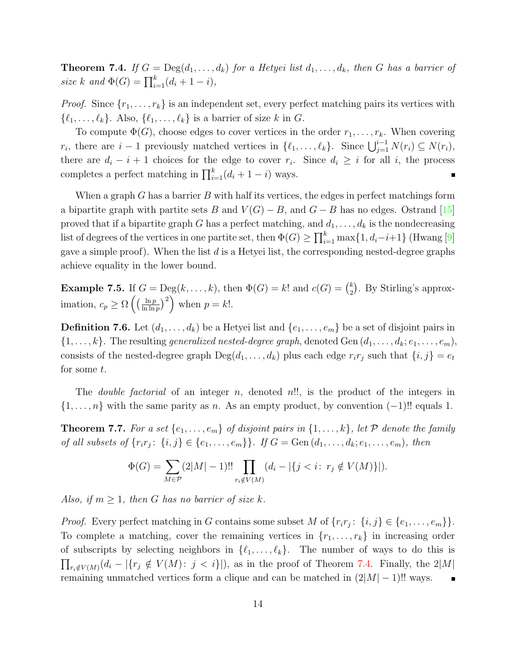<span id="page-13-0"></span>**Theorem 7.4.** If  $G = \text{Deg}(d_1, \ldots, d_k)$  for a Hetyei list  $d_1, \ldots, d_k$ , then G has a barrier of size k and  $\Phi(G) = \prod_{i=1}^{k} (d_i + 1 - i),$ 

*Proof.* Since  $\{r_1, \ldots, r_k\}$  is an independent set, every perfect matching pairs its vertices with  $\{\ell_1, \ldots, \ell_k\}.$  Also,  $\{\ell_1, \ldots, \ell_k\}$  is a barrier of size k in G.

To compute  $\Phi(G)$ , choose edges to cover vertices in the order  $r_1, \ldots, r_k$ . When covering  $r_i$ , there are  $i-1$  previously matched vertices in  $\{\ell_1, \ldots, \ell_k\}$ . Since  $\bigcup_{j=1}^{i-1} N(r_i) \subseteq N(r_i)$ , there are  $d_i - i + 1$  choices for the edge to cover  $r_i$ . Since  $d_i \geq i$  for all i, the process completes a perfect matching in  $\prod_{i=1}^{k} (d_i + 1 - i)$  ways.

When a graph G has a barrier B with half its vertices, the edges in perfect matchings form a bipartite graph with partite sets B and  $V(G) - B$ , and  $G - B$  has no edges. Ostrand [\[15\]](#page-21-11) proved that if a bipartite graph G has a perfect matching, and  $d_1, \ldots, d_k$  is the nondecreasing list of degrees of the vertices in one partite set, then  $\Phi(G) \ge \prod_{i=1}^k \max\{1, d_i-i+1\}$  (Hwang [\[9\]](#page-21-12) gave a simple proof). When the list  $d$  is a Hetyei list, the corresponding nested-degree graphs achieve equality in the lower bound.

<span id="page-13-2"></span>**Example 7.5.** If  $G = \text{Deg}(k, \ldots, k)$ , then  $\Phi(G) = k!$  and  $c(G) = \binom{k}{2}$  $_{2}^{k}$ ). By Stirling's approximation,  $c_p \geq \Omega \left( \left( \frac{\ln p}{\ln \ln p} \right) \right)$  $\frac{\ln p}{\ln \ln p}$ )<sup>2</sup>) when  $p = k!$ .

**Definition 7.6.** Let  $(d_1, \ldots, d_k)$  be a Hetyei list and  $\{e_1, \ldots, e_m\}$  be a set of disjoint pairs in  $\{1,\ldots,k\}$ . The resulting *generalized nested-degree graph*, denoted Gen  $(d_1,\ldots,d_k;e_1,\ldots,e_m)$ , consists of the nested-degree graph  $\text{Deg}(d_1, \ldots, d_k)$  plus each edge  $r_i r_j$  such that  $\{i, j\} = e_t$ for some t.

The *double factorial* of an integer n, denoted n!!, is the product of the integers in  $\{1,\ldots,n\}$  with the same parity as n. As an empty product, by convention  $(-1)!!$  equals 1.

<span id="page-13-1"></span>**Theorem 7.7.** For a set  $\{e_1, \ldots, e_m\}$  of disjoint pairs in  $\{1, \ldots, k\}$ , let  $P$  denote the family of all subsets of  $\{r_ir_j: \{i, j\} \in \{e_1, ..., e_m\}\}\.$  If  $G = \text{Gen}(d_1, ..., d_k; e_1, ..., e_m)$ , then

$$
\Phi(G) = \sum_{M \in \mathcal{P}} (2|M| - 1)!! \prod_{r_i \notin V(M)} (d_i - |\{j < i : r_j \notin V(M)\}|).
$$

Also, if  $m \geq 1$ , then G has no barrier of size k.

*Proof.* Every perfect matching in G contains some subset M of  $\{r_ir_j: \{i,j\} \in \{e_1,\ldots,e_m\}\}\.$ To complete a matching, cover the remaining vertices in  $\{r_1, \ldots, r_k\}$  in increasing order of subscripts by selecting neighbors in  $\{\ell_1, \ldots, \ell_k\}$ . The number of ways to do this is  $\prod_{r_i \notin V(M)} (d_i - |\{r_j \notin V(M): j < i\}|)$ , as in the proof of Theorem [7.4.](#page-13-0) Finally, the 2|M| remaining unmatched vertices form a clique and can be matched in  $(2|M|-1)!!$  ways.  $\blacksquare$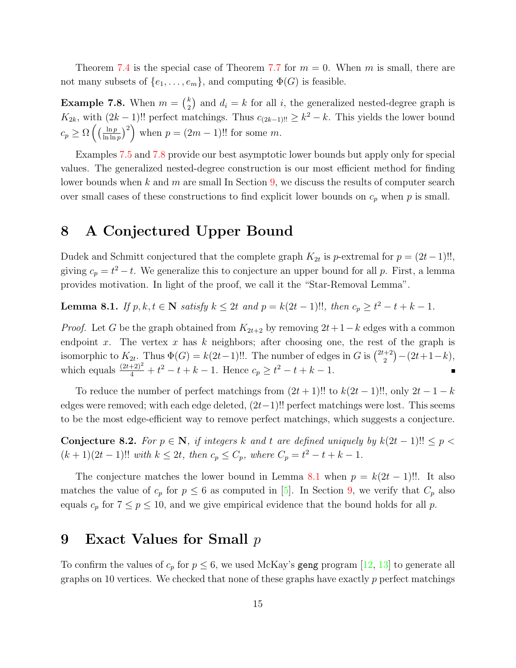Theorem [7.4](#page-13-0) is the special case of Theorem [7.7](#page-13-1) for  $m = 0$ . When m is small, there are not many subsets of  $\{e_1, \ldots, e_m\}$ , and computing  $\Phi(G)$  is feasible.

<span id="page-14-2"></span>**Example 7.8.** When  $m = \binom{k}{2}$  $\binom{k}{2}$  and  $d_i = k$  for all i, the generalized nested-degree graph is  $K_{2k}$ , with  $(2k-1)!!$  perfect matchings. Thus  $c_{(2k-1)!!} \geq k^2 - k$ . This yields the lower bound  $c_p \geq \Omega \left( \left( \frac{\ln p}{\ln \ln p} \right) \right)$  $\left(\frac{\ln p}{\ln \ln p}\right)^2$  when  $p = (2m - 1)!!$  for some m.

Examples [7.5](#page-13-2) and [7.8](#page-14-2) provide our best asymptotic lower bounds but apply only for special values. The generalized nested-degree construction is our most efficient method for finding lower bounds when k and m are small In Section [9,](#page-14-1) we discuss the results of computer search over small cases of these constructions to find explicit lower bounds on  $c_p$  when p is small.

## <span id="page-14-0"></span>8 A Conjectured Upper Bound

Dudek and Schmitt conjectured that the complete graph  $K_{2t}$  is p-extremal for  $p = (2t-1)!!$ , giving  $c_p = t^2 - t$ . We generalize this to conjecture an upper bound for all p. First, a lemma provides motivation. In light of the proof, we call it the "Star-Removal Lemma".

<span id="page-14-3"></span>**Lemma 8.1.** If  $p, k, t \in \mathbb{N}$  satisfy  $k \leq 2t$  and  $p = k(2t - 1)!!$ , then  $c_p \geq t^2 - t + k - 1$ .

*Proof.* Let G be the graph obtained from  $K_{2t+2}$  by removing  $2t+1-k$  edges with a common endpoint x. The vertex x has k neighbors; after choosing one, the rest of the graph is isomorphic to  $K_{2t}$ . Thus  $\Phi(G) = k(2t-1)!!$ . The number of edges in G is  $\binom{2t+2}{2}$  $\binom{+2}{2} - (2t+1-k),$ which equals  $\frac{(2t+2)^2}{4} + t^2 - t + k - 1$ . Hence  $c_p \geq t^2 - t + k - 1$ .

To reduce the number of perfect matchings from  $(2t + 1)!!$  to  $k(2t - 1)!!$ , only  $2t - 1 - k$ edges were removed; with each edge deleted,  $(2t-1)!!$  perfect matchings were lost. This seems to be the most edge-efficient way to remove perfect matchings, which suggests a conjecture.

<span id="page-14-4"></span>Conjecture 8.2. For  $p \in \mathbb{N}$ , if integers k and t are defined uniquely by  $k(2t-1)!! \leq p <$  $(k+1)(2t-1)!!$  with  $k \leq 2t$ , then  $c_p \leq C_p$ , where  $C_p = t^2 - t + k - 1$ .

The conjecture matches the lower bound in Lemma [8.1](#page-14-3) when  $p = k(2t - 1)!!$ . It also matches the value of  $c_p$  for  $p \leq 6$  as computed in [\[5\]](#page-21-0). In Section [9,](#page-14-1) we verify that  $C_p$  also equals  $c_p$  for  $7 \le p \le 10$ , and we give empirical evidence that the bound holds for all p.

## <span id="page-14-1"></span>9 Exact Values for Small p

To confirm the values of  $c_p$  for  $p \leq 6$ , we used McKay's geng program [\[12,](#page-21-13) [13\]](#page-21-14) to generate all graphs on 10 vertices. We checked that none of these graphs have exactly  $p$  perfect matchings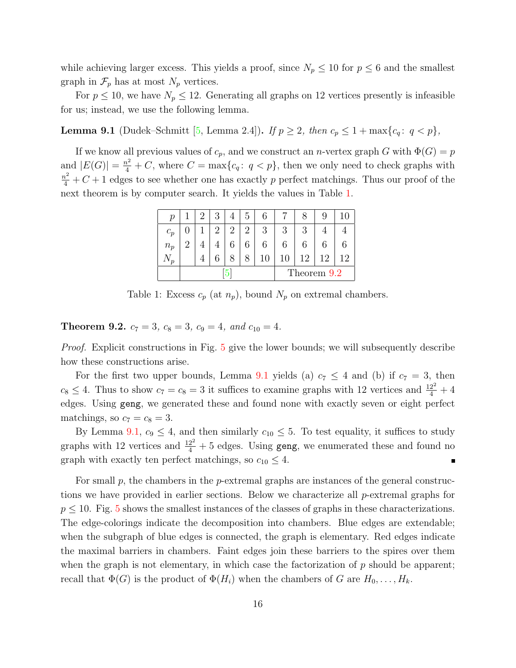while achieving larger excess. This yields a proof, since  $N_p \leq 10$  for  $p \leq 6$  and the smallest graph in  $\mathcal{F}_p$  has at most  $N_p$  vertices.

For  $p \le 10$ , we have  $N_p \le 12$ . Generating all graphs on 12 vertices presently is infeasible for us; instead, we use the following lemma.

<span id="page-15-2"></span>**Lemma 9.1** (Dudek–Schmitt [\[5,](#page-21-0) Lemma 2.4]). If  $p \ge 2$ , then  $c_p \le 1 + \max\{c_q : q < p\}$ ,

If we know all previous values of  $c_p$ , and we construct an *n*-vertex graph G with  $\Phi(G) = p$ and  $|E(G)| = \frac{n^2}{4} + C$ , where  $C = \max\{c_q : q < p\}$ , then we only need to check graphs with  $\frac{n^2}{4} + C + 1$  edges to see whether one has exactly p perfect matchings. Thus our proof of the next theorem is by computer search. It yields the values in Table [1.](#page-15-0)

<span id="page-15-0"></span>

| р              |   | 2 |   | 5 |             |        |                |   |    |  |  |
|----------------|---|---|---|---|-------------|--------|----------------|---|----|--|--|
| $c_p$          |   | റ | റ | 2 | 3           | 2<br>J | 2<br>U         |   |    |  |  |
| $n_p$          | റ |   |   |   |             |        |                |   |    |  |  |
| $\mathbf{v}_p$ |   |   |   |   | 10          |        | $\overline{2}$ | റ | 12 |  |  |
|                |   |   |   |   | Theorem 9.2 |        |                |   |    |  |  |

Table 1: Excess  $c_p$  (at  $n_p$ ), bound  $N_p$  on extremal chambers.

<span id="page-15-1"></span>**Theorem 9.2.**  $c_7 = 3$ ,  $c_8 = 3$ ,  $c_9 = 4$ , and  $c_{10} = 4$ .

Proof. Explicit constructions in Fig. [5](#page-16-0) give the lower bounds; we will subsequently describe how these constructions arise.

For the first two upper bounds, Lemma [9.1](#page-15-2) yields (a)  $c_7 \leq 4$  and (b) if  $c_7 = 3$ , then  $c_8 \leq 4$ . Thus to show  $c_7 = c_8 = 3$  it suffices to examine graphs with 12 vertices and  $\frac{12^2}{4} + 4$ edges. Using geng, we generated these and found none with exactly seven or eight perfect matchings, so  $c_7 = c_8 = 3$ .

By Lemma [9.1,](#page-15-2)  $c_9 \leq 4$ , and then similarly  $c_{10} \leq 5$ . To test equality, it suffices to study graphs with 12 vertices and  $\frac{12^2}{4} + 5$  edges. Using geng, we enumerated these and found no graph with exactly ten perfect matchings, so  $c_{10} \leq 4$ . É

For small  $p$ , the chambers in the  $p$ -extremal graphs are instances of the general constructions we have provided in earlier sections. Below we characterize all p-extremal graphs for  $p \leq 10$ . Fig. [5](#page-16-0) shows the smallest instances of the classes of graphs in these characterizations. The edge-colorings indicate the decomposition into chambers. Blue edges are extendable; when the subgraph of blue edges is connected, the graph is elementary. Red edges indicate the maximal barriers in chambers. Faint edges join these barriers to the spires over them when the graph is not elementary, in which case the factorization of  $p$  should be apparent; recall that  $\Phi(G)$  is the product of  $\Phi(H_i)$  when the chambers of G are  $H_0, \ldots, H_k$ .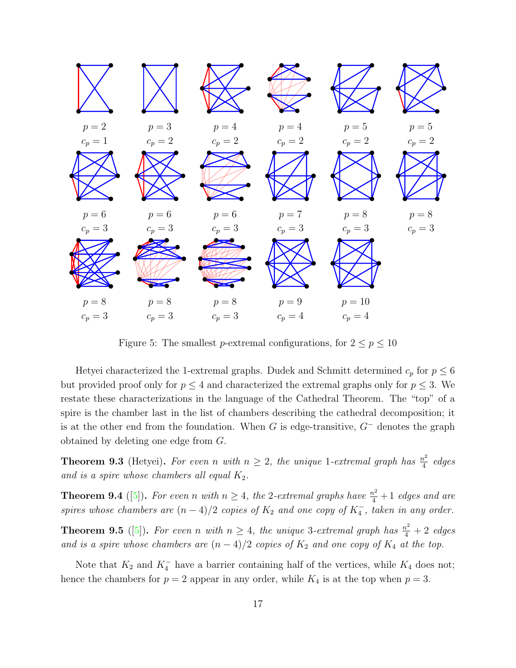

<span id="page-16-0"></span>Figure 5: The smallest p-extremal configurations, for  $2 \le p \le 10$ 

Hetyei characterized the 1-extremal graphs. Dudek and Schmitt determined  $c_p$  for  $p \leq 6$ but provided proof only for  $p \leq 4$  and characterized the extremal graphs only for  $p \leq 3$ . We restate these characterizations in the language of the Cathedral Theorem. The "top" of a spire is the chamber last in the list of chambers describing the cathedral decomposition; it is at the other end from the foundation. When G is edge-transitive,  $G^-$  denotes the graph obtained by deleting one edge from G.

**Theorem 9.3** (Hetyei). For even n with  $n \geq 2$ , the unique 1-extremal graph has  $\frac{n^2}{4}$  $rac{v^2}{4}$  edges and is a spire whose chambers all equal  $K_2$ .

**Theorem 9.4** ([\[5\]](#page-21-0)). For even n with  $n \geq 4$ , the 2-extremal graphs have  $\frac{n^2}{4} + 1$  edges and are spires whose chambers are  $(n-4)/2$  copies of  $K_2$  and one copy of  $K_4^-$ , taken in any order.

**Theorem 9.5** ([\[5\]](#page-21-0)). For even n with  $n \geq 4$ , the unique 3-extremal graph has  $\frac{n^2}{4} + 2$  edges and is a spire whose chambers are  $(n-4)/2$  copies of  $K_2$  and one copy of  $K_4$  at the top.

Note that  $K_2$  and  $K_4^-$  have a barrier containing half of the vertices, while  $K_4$  does not; hence the chambers for  $p = 2$  appear in any order, while  $K_4$  is at the top when  $p = 3$ .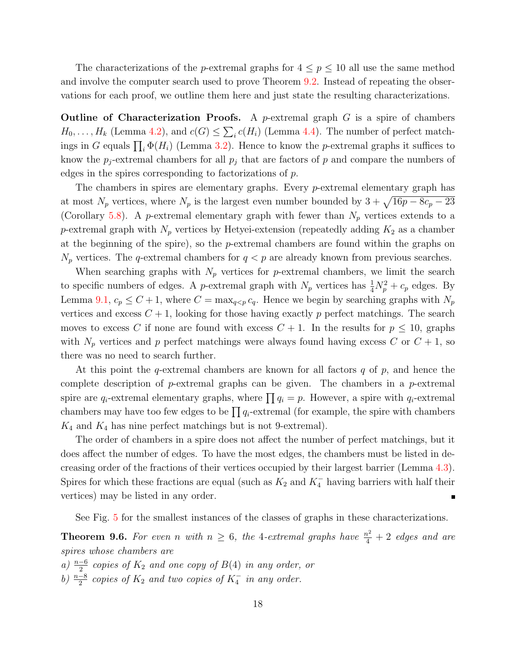The characterizations of the *p*-extremal graphs for  $4 \leq p \leq 10$  all use the same method and involve the computer search used to prove Theorem [9.2.](#page-15-1) Instead of repeating the observations for each proof, we outline them here and just state the resulting characterizations.

**Outline of Characterization Proofs.** A *p*-extremal graph  $G$  is a spire of chambers  $H_0, \ldots, H_k$  (Lemma [4.2\)](#page-6-2), and  $c(G) \leq \sum_i c(H_i)$  (Lemma [4.4\)](#page-7-0). The number of perfect matchings in G equals  $\prod_i \Phi(H_i)$  (Lemma [3.2\)](#page-4-1). Hence to know the p-extremal graphs it suffices to know the  $p_j$ -extremal chambers for all  $p_j$  that are factors of p and compare the numbers of edges in the spires corresponding to factorizations of p.

The chambers in spires are elementary graphs. Every p-extremal elementary graph has at most  $N_p$  vertices, where  $N_p$  is the largest even number bounded by  $3 + \sqrt{16p - 8c_p - 23}$ (Corollary [5.8\)](#page-10-1). A p-extremal elementary graph with fewer than  $N_p$  vertices extends to a p-extremal graph with  $N_p$  vertices by Hetyei-extension (repeatedly adding  $K_2$  as a chamber at the beginning of the spire), so the p-extremal chambers are found within the graphs on  $N_p$  vertices. The q-extremal chambers for  $q < p$  are already known from previous searches.

When searching graphs with  $N_p$  vertices for p-extremal chambers, we limit the search to specific numbers of edges. A *p*-extremal graph with  $N_p$  vertices has  $\frac{1}{4}N_p^2 + c_p$  edges. By Lemma [9.1,](#page-15-2)  $c_p \leq C+1$ , where  $C = \max_{q \leq p} c_q$ . Hence we begin by searching graphs with  $N_p$ vertices and excess  $C + 1$ , looking for those having exactly p perfect matchings. The search moves to excess C if none are found with excess  $C + 1$ . In the results for  $p \le 10$ , graphs with  $N_p$  vertices and p perfect matchings were always found having excess C or  $C + 1$ , so there was no need to search further.

At this point the  $q$ -extremal chambers are known for all factors  $q$  of  $p$ , and hence the complete description of  $p$ -extremal graphs can be given. The chambers in a  $p$ -extremal spire are  $q_i$ -extremal elementary graphs, where  $\prod q_i = p$ . However, a spire with  $q_i$ -extremal chambers may have too few edges to be  $\prod q_i$ -extremal (for example, the spire with chambers  $K_4$  and  $K_4$  has nine perfect matchings but is not 9-extremal).

The order of chambers in a spire does not affect the number of perfect matchings, but it does affect the number of edges. To have the most edges, the chambers must be listed in decreasing order of the fractions of their vertices occupied by their largest barrier (Lemma [4.3\)](#page-7-1). Spires for which these fractions are equal (such as  $K_2$  and  $K_4^-$  having barriers with half their vertices) may be listed in any order.

See Fig. [5](#page-16-0) for the smallest instances of the classes of graphs in these characterizations.

**Theorem 9.6.** For even n with  $n \geq 6$ , the 4-extremal graphs have  $\frac{n^2}{4} + 2$  edges and are spires whose chambers are

a)  $\frac{n-6}{2}$  copies of  $K_2$  and one copy of  $B(4)$  in any order, or

b)  $\frac{n-8}{2}$  copies of  $K_2$  and two copies of  $K_4^-$  in any order.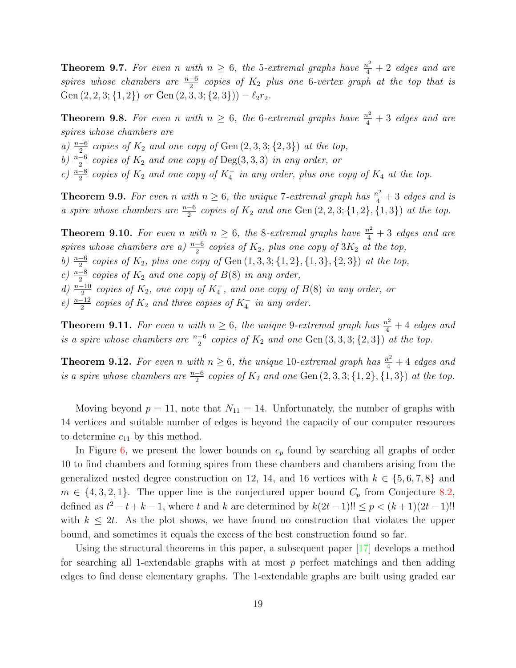**Theorem 9.7.** For even n with  $n \geq 6$ , the 5-extremal graphs have  $\frac{n^2}{4} + 2$  edges and are spires whose chambers are  $\frac{n-6}{2}$  copies of  $K_2$  plus one 6-vertex graph at the top that is Gen  $(2, 2, 3; {1, 2})$  or Gen  $(2, 3, 3; {2, 3})$ ) –  $\ell_2r_2$ .

**Theorem 9.8.** For even n with  $n \geq 6$ , the 6-extremal graphs have  $\frac{n^2}{4} + 3$  edges and are spires whose chambers are

a)  $\frac{n-6}{2}$  copies of  $K_2$  and one copy of Gen  $(2, 3, 3; \{2, 3\})$  at the top,

b)  $\frac{n-6}{2}$  copies of  $K_2$  and one copy of Deg(3,3,3) in any order, or

c)  $\frac{n-8}{2}$  copies of  $K_2$  and one copy of  $K_4^-$  in any order, plus one copy of  $K_4$  at the top.

**Theorem 9.9.** For even n with  $n \geq 6$ , the unique 7-extremal graph has  $\frac{n^2}{4} + 3$  edges and is a spire whose chambers are  $\frac{n-6}{2}$  copies of  $K_2$  and one Gen  $(2, 2, 3; \{1, 2\}, \{1, 3\})$  at the top.

**Theorem 9.10.** For even n with  $n \geq 6$ , the 8-extremal graphs have  $\frac{n^2}{4} + 3$  edges and are spires whose chambers are a)  $\frac{n-6}{2}$  copies of  $K_2$ , plus one copy of  $\overline{3K_2}$  at the top,

b)  $\frac{n-6}{2}$  copies of  $K_2$ , plus one copy of Gen  $(1, 3, 3; \{1, 2\}, \{1, 3\}, \{2, 3\})$  at the top,

c)  $\frac{n-8}{2}$  copies of  $K_2$  and one copy of  $B(8)$  in any order,

d)  $\frac{n-10}{2}$  copies of  $K_2$ , one copy of  $K_4^-$ , and one copy of  $B(8)$  in any order, or

e)  $\frac{n-12}{2}$  copies of  $K_2$  and three copies of  $K_4^-$  in any order.

**Theorem 9.11.** For even n with  $n \geq 6$ , the unique 9-extremal graph has  $\frac{n^2}{4} + 4$  edges and is a spire whose chambers are  $\frac{n-6}{2}$  copies of  $K_2$  and one Gen  $(3, 3, 3; \{2, 3\})$  at the top.

**Theorem 9.12.** For even n with  $n \geq 6$ , the unique 10-extremal graph has  $\frac{n^2}{4} + 4$  edges and is a spire whose chambers are  $\frac{n-6}{2}$  copies of  $K_2$  and one Gen  $(2, 3, 3; \{1, 2\}, \{1, 3\})$  at the top.

Moving beyond  $p = 11$ , note that  $N_{11} = 14$ . Unfortunately, the number of graphs with 14 vertices and suitable number of edges is beyond the capacity of our computer resources to determine  $c_{11}$  by this method.

In Figure [6,](#page-19-0) we present the lower bounds on  $c_p$  found by searching all graphs of order 10 to find chambers and forming spires from these chambers and chambers arising from the generalized nested degree construction on 12, 14, and 16 vertices with  $k \in \{5,6,7,8\}$  and  $m \in \{4, 3, 2, 1\}$ . The upper line is the conjectured upper bound  $C_p$  from Conjecture [8.2,](#page-14-4) defined as  $t^2 - t + k - 1$ , where t and k are determined by  $k(2t - 1)!! \le p < (k + 1)(2t - 1)!!$ with  $k \leq 2t$ . As the plot shows, we have found no construction that violates the upper bound, and sometimes it equals the excess of the best construction found so far.

Using the structural theorems in this paper, a subsequent paper [\[17\]](#page-21-7) develops a method for searching all 1-extendable graphs with at most  $p$  perfect matchings and then adding edges to find dense elementary graphs. The 1-extendable graphs are built using graded ear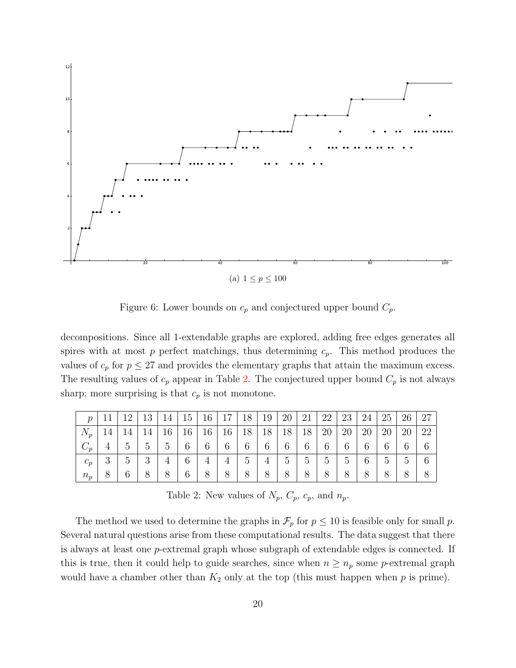

<span id="page-19-0"></span>Figure 6: Lower bounds on  $c_p$  and conjectured upper bound  $C_p$ .

decompositions. Since all 1-extendable graphs are explored, adding free edges generates all spires with at most p perfect matchings, thus determining  $c_p$ . This method produces the values of  $c_p$  for  $p \leq 27$  and provides the elementary graphs that attain the maximum excess. The resulting values of  $c_p$  appear in Table [2.](#page-19-1) The conjectured upper bound  $C_p$  is not always sharp; more surprising is that  $c_p$  is not monotone.

| $\boldsymbol{\eta}$ |        | 12             | 13 | 14            | 15 | 16 | 17             | 18 | 19 | 20 | 21 | 22            | 23 | 24 | 25        | 26 | 27 |
|---------------------|--------|----------------|----|---------------|----|----|----------------|----|----|----|----|---------------|----|----|-----------|----|----|
| $N_p$               | 14     | 14             | 14 | 16            | 16 | 16 | 16             | 18 | 18 | 18 | 18 | 20            | 20 | 20 | <b>20</b> | 20 | 22 |
|                     | 4      | $\sigma$       | 5  | $\mathcal{C}$ | 6  | 6  | 6              | 6  | 6  | 6  | 6  | $\mathfrak b$ | b  | 6  | O         |    |    |
| $c_p$               | 2<br>◡ | $\overline{5}$ | 3  | 4             | 6  | 4  | $\overline{4}$ | 5  | 4  | 5  | 5  | 5             | 5  | 6  | 5         | 5  | 6  |
| $n_{p}$             |        |                |    | 8             | 6  |    | 8              | 8  |    |    |    |               | 8  | 8  |           |    |    |

<span id="page-19-1"></span>Table 2: New values of  $N_p$ ,  $C_p$ ,  $c_p$ , and  $n_p$ .

The method we used to determine the graphs in  $\mathcal{F}_p$  for  $p \leq 10$  is feasible only for small p. Several natural questions arise from these computational results. The data suggest that there is always at least one p-extremal graph whose subgraph of extendable edges is connected. If this is true, then it could help to guide searches, since when  $n \geq n_p$  some p-extremal graph would have a chamber other than  $K_2$  only at the top (this must happen when p is prime).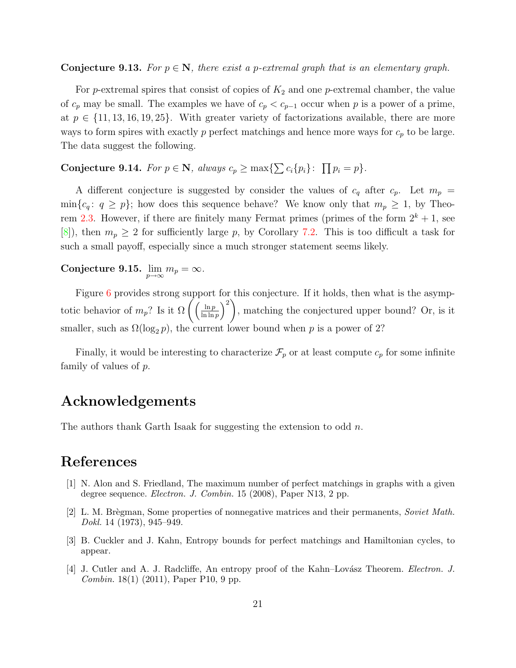#### **Conjecture 9.13.** For  $p \in \mathbb{N}$ , there exist a p-extremal graph that is an elementary graph.

For p-extremal spires that consist of copies of  $K_2$  and one p-extremal chamber, the value of  $c_p$  may be small. The examples we have of  $c_p < c_{p-1}$  occur when p is a power of a prime, at  $p \in \{11, 13, 16, 19, 25\}$ . With greater variety of factorizations available, there are more ways to form spires with exactly p perfect matchings and hence more ways for  $c_p$  to be large. The data suggest the following.

#### Conjecture 9.14. For  $p \in \mathbb{N}$ , always  $c_p \ge \max\{\sum c_i\{p_i\}: \prod p_i = p\}.$

A different conjecture is suggested by consider the values of  $c_q$  after  $c_p$ . Let  $m_p =$  $\min\{c_q: q \geq p\}$ ; how does this sequence behave? We know only that  $m_p \geq 1$ , by Theo-rem [2.3.](#page-3-2) However, if there are finitely many Fermat primes (primes of the form  $2^k + 1$ , see [\[8\]](#page-21-15)), then  $m_p \geq 2$  for sufficiently large p, by Corollary [7.2.](#page-12-1) This is too difficult a task for such a small payoff, especially since a much stronger statement seems likely.

Conjecture 9.15.  $\lim_{p\to\infty}m_p=\infty$ .

Figure [6](#page-19-0) provides strong support for this conjecture. If it holds, then what is the asymptotic behavior of  $m_p$ ? Is it  $\Omega\left(\frac{\ln p}{\ln \ln p}\right)$  $\frac{\ln p}{\ln \ln p}$  $\bigg)^2$ , matching the conjectured upper bound? Or, is it smaller, such as  $\Omega(\log_2 p)$ , the current lower bound when p is a power of 2?

Finally, it would be interesting to characterize  $\mathcal{F}_p$  or at least compute  $c_p$  for some infinite family of values of p.

## Acknowledgements

The authors thank Garth Isaak for suggesting the extension to odd  $n$ .

#### References

- <span id="page-20-1"></span>[1] N. Alon and S. Friedland, The maximum number of perfect matchings in graphs with a given degree sequence. Electron. J. Combin. 15 (2008), Paper N13, 2 pp.
- <span id="page-20-0"></span>[2] L. M. Brègman, Some properties of nonnegative matrices and their permanents, Soviet Math. Dokl. 14 (1973), 945–949.
- [3] B. Cuckler and J. Kahn, Entropy bounds for perfect matchings and Hamiltonian cycles, to appear.
- <span id="page-20-2"></span>[4] J. Cutler and A. J. Radcliffe, An entropy proof of the Kahn–Lovász Theorem. Electron. J. Combin. 18(1) (2011), Paper P10, 9 pp.